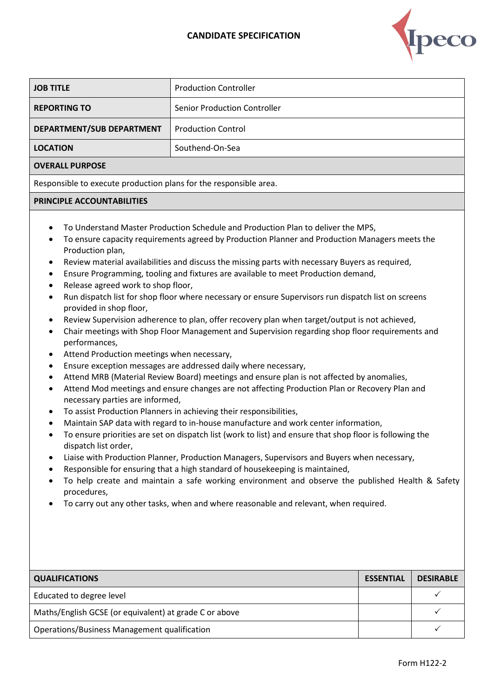## **CANDIDATE SPECIFICATION**



| <b>JOB TITLE</b>                                                                                                                                                                                                                                                                                                                                                                                                                                                                                                                                                                                                                                                                                                                                                                                                                                                                                                                                                                                                                                                                                                                                                                                                                                                                                                                                                                                                                                                                                                                                                                                                                                                                                                                                                                                                                                                                                                 | <b>Production Controller</b>        |                  |  |  |
|------------------------------------------------------------------------------------------------------------------------------------------------------------------------------------------------------------------------------------------------------------------------------------------------------------------------------------------------------------------------------------------------------------------------------------------------------------------------------------------------------------------------------------------------------------------------------------------------------------------------------------------------------------------------------------------------------------------------------------------------------------------------------------------------------------------------------------------------------------------------------------------------------------------------------------------------------------------------------------------------------------------------------------------------------------------------------------------------------------------------------------------------------------------------------------------------------------------------------------------------------------------------------------------------------------------------------------------------------------------------------------------------------------------------------------------------------------------------------------------------------------------------------------------------------------------------------------------------------------------------------------------------------------------------------------------------------------------------------------------------------------------------------------------------------------------------------------------------------------------------------------------------------------------|-------------------------------------|------------------|--|--|
| <b>REPORTING TO</b>                                                                                                                                                                                                                                                                                                                                                                                                                                                                                                                                                                                                                                                                                                                                                                                                                                                                                                                                                                                                                                                                                                                                                                                                                                                                                                                                                                                                                                                                                                                                                                                                                                                                                                                                                                                                                                                                                              | <b>Senior Production Controller</b> |                  |  |  |
|                                                                                                                                                                                                                                                                                                                                                                                                                                                                                                                                                                                                                                                                                                                                                                                                                                                                                                                                                                                                                                                                                                                                                                                                                                                                                                                                                                                                                                                                                                                                                                                                                                                                                                                                                                                                                                                                                                                  |                                     |                  |  |  |
| DEPARTMENT/SUB DEPARTMENT                                                                                                                                                                                                                                                                                                                                                                                                                                                                                                                                                                                                                                                                                                                                                                                                                                                                                                                                                                                                                                                                                                                                                                                                                                                                                                                                                                                                                                                                                                                                                                                                                                                                                                                                                                                                                                                                                        | <b>Production Control</b>           |                  |  |  |
| <b>LOCATION</b>                                                                                                                                                                                                                                                                                                                                                                                                                                                                                                                                                                                                                                                                                                                                                                                                                                                                                                                                                                                                                                                                                                                                                                                                                                                                                                                                                                                                                                                                                                                                                                                                                                                                                                                                                                                                                                                                                                  | Southend-On-Sea                     |                  |  |  |
| <b>OVERALL PURPOSE</b>                                                                                                                                                                                                                                                                                                                                                                                                                                                                                                                                                                                                                                                                                                                                                                                                                                                                                                                                                                                                                                                                                                                                                                                                                                                                                                                                                                                                                                                                                                                                                                                                                                                                                                                                                                                                                                                                                           |                                     |                  |  |  |
| Responsible to execute production plans for the responsible area.                                                                                                                                                                                                                                                                                                                                                                                                                                                                                                                                                                                                                                                                                                                                                                                                                                                                                                                                                                                                                                                                                                                                                                                                                                                                                                                                                                                                                                                                                                                                                                                                                                                                                                                                                                                                                                                |                                     |                  |  |  |
| PRINCIPLE ACCOUNTABILITIES                                                                                                                                                                                                                                                                                                                                                                                                                                                                                                                                                                                                                                                                                                                                                                                                                                                                                                                                                                                                                                                                                                                                                                                                                                                                                                                                                                                                                                                                                                                                                                                                                                                                                                                                                                                                                                                                                       |                                     |                  |  |  |
| To Understand Master Production Schedule and Production Plan to deliver the MPS,<br>To ensure capacity requirements agreed by Production Planner and Production Managers meets the<br>Production plan,<br>Review material availabilities and discuss the missing parts with necessary Buyers as required,<br>٠<br>Ensure Programming, tooling and fixtures are available to meet Production demand,<br>٠<br>Release agreed work to shop floor,<br>٠<br>Run dispatch list for shop floor where necessary or ensure Supervisors run dispatch list on screens<br>$\bullet$<br>provided in shop floor,<br>Review Supervision adherence to plan, offer recovery plan when target/output is not achieved,<br>٠<br>Chair meetings with Shop Floor Management and Supervision regarding shop floor requirements and<br>$\bullet$<br>performances,<br>Attend Production meetings when necessary,<br>٠<br>Ensure exception messages are addressed daily where necessary,<br>٠<br>Attend MRB (Material Review Board) meetings and ensure plan is not affected by anomalies,<br>Attend Mod meetings and ensure changes are not affecting Production Plan or Recovery Plan and<br>٠<br>necessary parties are informed,<br>To assist Production Planners in achieving their responsibilities,<br>$\bullet$<br>Maintain SAP data with regard to in-house manufacture and work center information,<br>To ensure priorities are set on dispatch list (work to list) and ensure that shop floor is following the<br>dispatch list order,<br>Liaise with Production Planner, Production Managers, Supervisors and Buyers when necessary,<br>Responsible for ensuring that a high standard of housekeeping is maintained,<br>To help create and maintain a safe working environment and observe the published Health & Safety<br>procedures,<br>To carry out any other tasks, when and where reasonable and relevant, when required. |                                     |                  |  |  |
| <b>QUALIFICATIONS</b>                                                                                                                                                                                                                                                                                                                                                                                                                                                                                                                                                                                                                                                                                                                                                                                                                                                                                                                                                                                                                                                                                                                                                                                                                                                                                                                                                                                                                                                                                                                                                                                                                                                                                                                                                                                                                                                                                            | <b>ESSENTIAL</b>                    | <b>DESIRABLE</b> |  |  |
| Educated to degree level                                                                                                                                                                                                                                                                                                                                                                                                                                                                                                                                                                                                                                                                                                                                                                                                                                                                                                                                                                                                                                                                                                                                                                                                                                                                                                                                                                                                                                                                                                                                                                                                                                                                                                                                                                                                                                                                                         |                                     | $\checkmark$     |  |  |
| Maths/English GCSE (or equivalent) at grade C or above                                                                                                                                                                                                                                                                                                                                                                                                                                                                                                                                                                                                                                                                                                                                                                                                                                                                                                                                                                                                                                                                                                                                                                                                                                                                                                                                                                                                                                                                                                                                                                                                                                                                                                                                                                                                                                                           |                                     | $\checkmark$     |  |  |
| Operations/Business Management qualification                                                                                                                                                                                                                                                                                                                                                                                                                                                                                                                                                                                                                                                                                                                                                                                                                                                                                                                                                                                                                                                                                                                                                                                                                                                                                                                                                                                                                                                                                                                                                                                                                                                                                                                                                                                                                                                                     |                                     | $\checkmark$     |  |  |
|                                                                                                                                                                                                                                                                                                                                                                                                                                                                                                                                                                                                                                                                                                                                                                                                                                                                                                                                                                                                                                                                                                                                                                                                                                                                                                                                                                                                                                                                                                                                                                                                                                                                                                                                                                                                                                                                                                                  |                                     |                  |  |  |